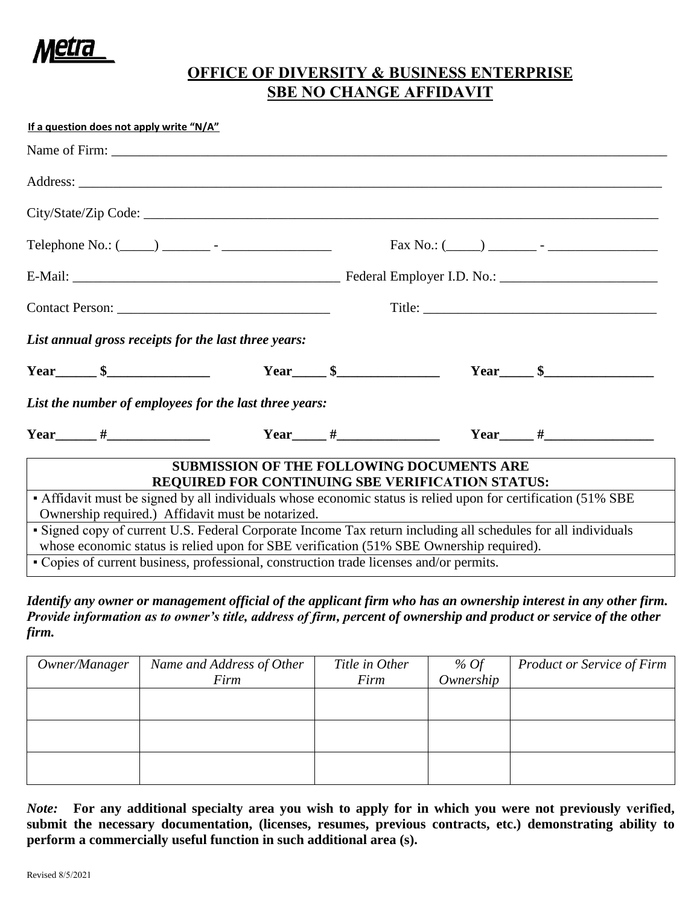

## **OFFICE OF DIVERSITY & BUSINESS ENTERPRISE SBE NO CHANGE AFFIDAVIT**

| If a question does not apply write "N/A"                                                                      |  |                                                                                                             |  |  |
|---------------------------------------------------------------------------------------------------------------|--|-------------------------------------------------------------------------------------------------------------|--|--|
|                                                                                                               |  |                                                                                                             |  |  |
|                                                                                                               |  |                                                                                                             |  |  |
|                                                                                                               |  |                                                                                                             |  |  |
|                                                                                                               |  |                                                                                                             |  |  |
|                                                                                                               |  |                                                                                                             |  |  |
|                                                                                                               |  |                                                                                                             |  |  |
| List annual gross receipts for the last three years:                                                          |  |                                                                                                             |  |  |
|                                                                                                               |  |                                                                                                             |  |  |
| List the number of employees for the last three years:                                                        |  |                                                                                                             |  |  |
|                                                                                                               |  | Year $\#$                                                                                                   |  |  |
|                                                                                                               |  | <b>SUBMISSION OF THE FOLLOWING DOCUMENTS ARE</b><br><b>REQUIRED FOR CONTINUING SBE VERIFICATION STATUS:</b> |  |  |
| • Affidavit must be signed by all individuals whose economic status is relied upon for certification (51% SBE |  |                                                                                                             |  |  |
| Ownership required.) Affidavit must be notarized.                                                             |  |                                                                                                             |  |  |
| • Signed copy of current U.S. Federal Corporate Income Tax return including all schedules for all individuals |  |                                                                                                             |  |  |
| whose economic status is relied upon for SBE verification (51% SBE Ownership required).                       |  |                                                                                                             |  |  |
| • Copies of current business, professional, construction trade licenses and/or permits.                       |  |                                                                                                             |  |  |

*Identify any owner or management official of the applicant firm who has an ownership interest in any other firm. Provide information as to owner's title, address of firm, percent of ownership and product or service of the other firm.* 

| Owner/Manager | Name and Address of Other | Title in Other | % Of      | <b>Product or Service of Firm</b> |
|---------------|---------------------------|----------------|-----------|-----------------------------------|
|               | Firm                      | Firm           | Ownership |                                   |
|               |                           |                |           |                                   |
|               |                           |                |           |                                   |
|               |                           |                |           |                                   |
|               |                           |                |           |                                   |
|               |                           |                |           |                                   |
|               |                           |                |           |                                   |

*Note:* **For any additional specialty area you wish to apply for in which you were not previously verified, submit the necessary documentation, (licenses, resumes, previous contracts, etc.) demonstrating ability to perform a commercially useful function in such additional area (s).**